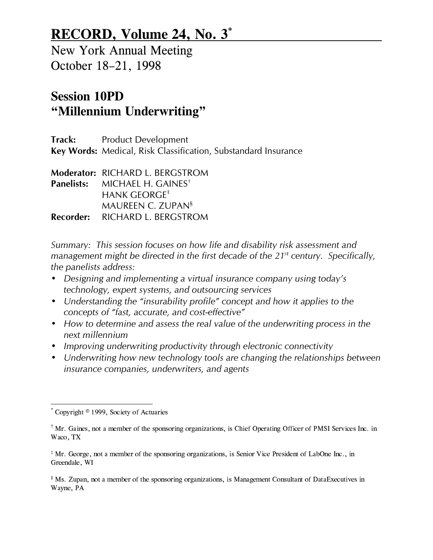## RECORD, Volume 24, No. 3\*

New York Annual Meeting October 18-21, 1998

## Session lOPD "Millennium Underwriting"

Track: Product Development Key Words: Medical, Risk Classification, Substandard Insurance

Moderator: RICHARD L. BERGSTROM Panelists: MICHAEL H. GAINES<sup>+</sup> HANK GEORGE\* MAUREEN C. ZUPAN§ Recorder: RICHARD L. BERGSTROM

Summary: This session focuses on how life and disability risk assessment and management might be directed in the first decade of the  $21^{st}$  century. Specifically, the panelists address:

- Designing and implementing a virtual insurance company using today's technology, expert systems, and outsourcing services
- Understanding the "insurability profile" concept and how it applies to the concepts of "fast, accurate, and cost-effective"
- How to determine and assess the real value of the underwriting process in the next millennium
- Improving underwriting productivity through electronic connectivity
- Underwriting how new technology tools are changing the relationships between insurance companies, underwriters, and agents

§ Ms. Zupan, not a member of the sponsoring organizations, is Management Consultant of DataExecutives in Wayne, PA

 $\overline{a}$  $*$  Copyright  $\circ$  1999, Society of Actuaries

 $<sup>†</sup>$  Mr. Gaines, not a member of the sponsoring organizations, is Chief Operating Officer of PMSI Services Inc. in</sup> Waco, TX

<sup>\*</sup> Mr. George, not a member of the sponsoring organizations, is Senior Vice President of LabOne Inc., in Greendale, WI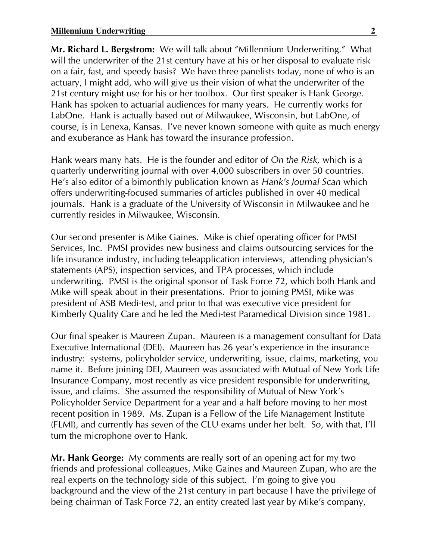Mr. Richard L. Bergstrom: We will talk about "Millennium Underwriting." What will the underwriter of the 21st century have at his or her disposal to evaluate risk on a fair, fast, and speedy basis? We have three panelists today, none of who is an actuary, I might add, who will give us their vision of what the underwriter of the 21st century might use for his or her toolbox. Our first speaker is Hank George. Hank has spoken to actuarial audiences for many years. He currently works for LabOne. Hank is actually based out of Milwaukee, Wisconsin, but LabOne, of course, is in Lenexa, Kansas. I've never known someone with quite as much energy and exuberance as Hank has toward the insurance profession.

Hank wears many hats. He is the founder and editor of On the Risk, which is a quarterly underwriting journal with over 4,000 subscribers in over 50 countries. He's also editor of a bimonthly publication known as Hank's Journal Scan which offers underwriting-focused summaries of articles published in over 40 medical journals. Hank is a graduate of the University of Wisconsin in Milwaukee and he currently resides in Milwaukee, Wisconsin.

Our second presenter is Mike Gaines. Mike is chief operating officer for PMSI Services, Inc. PMSI provides new business and claims outsourcing services for the life insurance industry, including teleapplication interviews, attending physician's statements (APS), inspection services, and TPA processes, which include underwriting. PMSI is the original sponsor of Task Force 72, which both Hank and Mike will speak about in their presentations. Prior to joining PMSI, Mike was president of ASB Medi-test, and prior to that was executive vice president for Kimberly Quality Care and he led the Medi-test Paramedical Division since 1981.

Our final speaker is Maureen Zupan. Maureen is a management consultant for Data Executive International (DEI). Maureen has 26 year's experience in the insurance industry: systems, policyholder service, underwriting, issue, claims, marketing, you name it. Before joining DEI, Maureen was associated with Mutual of New York Life Insurance Company, most recently as vice president responsible for underwriting, issue, and claims. She assumed the responsibility of Mutual of New York's Policyholder Service Department for a year and a half before moving to her most recent position in 1989. Ms. Zupan is a Fellow of the Life Management Institute (FLMI), and currently has seven of the CLU exams under her belt. So, with that, I'll turn the microphone over to Hank.

Mr. Hank George: My comments are really sort of an opening act for my two friends and professional colleagues, Mike Gaines and Maureen Zupan, who are the real experts on the technology side of this subject. I'm going to give you background and the view of the 21st century in part because I have the privilege of being chairman of Task Force 72, an entity created last year by Mike's company,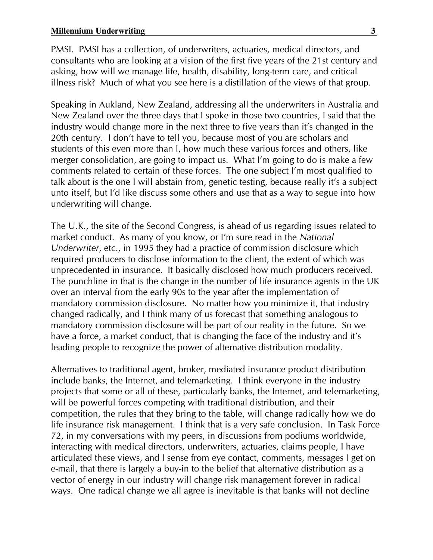PMSI. PMSI has a collection, of underwriters, actuaries, medical directors, and consultants who are looking at a vision of the first five years of the 21st century and asking, how will we manage life, health, disability, long-term care, and critical illness risk? Much of what you see here is a distillation of the views of that group.

Speaking in Aukland, New Zealand, addressing all the underwriters in Australia and New Zealand over the three days that I spoke in those two countries, I said that the industry would change more in the next three to five years than it's changed in the 20th century. I don't have to tell you, because most of you are scholars and students of this even more than I, how much these various forces and others, like merger consolidation, are going to impact us. What I'm going to do is make a few comments related to certain of these forces. The one subject I'm most qualified to talk about is the one I will abstain from, genetic testing, because really it's a subject unto itself, but I'd like discuss some others and use that as a way to segue into how underwriting will change.

The U.K., the site of the Second Congress, is ahead of us regarding issues related to market conduct. As many of you know, or I'm sure read in the National Underwriter, etc., in 1995 they had a practice of commission disclosure which required producers to disclose information to the client, the extent of which was unprecedented in insurance. It basically disclosed how much producers received. The punchline in that is the change in the number of life insurance agents in the UK over an interval from the early 90s to the year after the implementation of mandatory commission disclosure. No matter how you minimize it, that industry changed radically, and I think many of us forecast that something analogous to mandatory commission disclosure will be part of our reality in the future. So we have a force, a market conduct, that is changing the face of the industry and it's leading people to recognize the power of alternative distribution modality.

Alternatives to traditional agent, broker, mediated insurance product distribution include banks, the Internet, and telemarketing. I think everyone in the industry projects that some or all of these, particularly banks, the Internet, and telemarketing, will be powerful forces competing with traditional distribution, and their competition, the rules that they bring to the table, will change radically how we do life insurance risk management. I think that is a very safe conclusion. In Task Force 72, in my conversations with my peers, in discussions from podiums worldwide, interacting with medical directors, underwriters, actuaries, claims people, I have articulated these views, and I sense from eye contact, comments, messages I get on e-mail, that there is largely a buy-in to the belief that alternative distribution as a vector of energy in our industry will change risk management forever in radical ways. One radical change we all agree is inevitable is that banks will not decline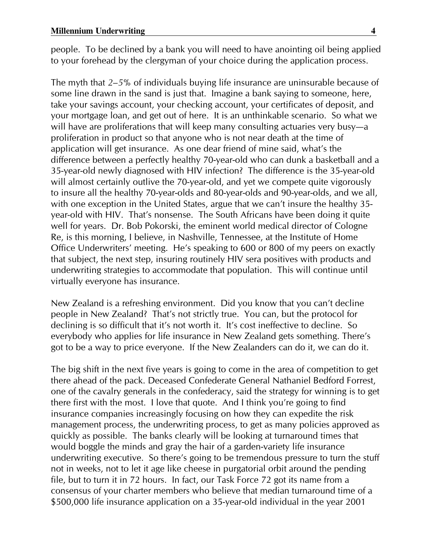people. To be declined by a bank you will need to have anointing oil being applied to your forehead by the clergyman of your choice during the application process.

The myth that 2-5% of individuals buying life insurance are uninsurable because of some line drawn in the sand is just that. Imagine a bank saying to someone, here, take your savings account, your checking account, your certificates of deposit, and your mortgage loan, and get out of here. It is an unthinkable scenario. So what we will have are proliferations that will keep many consulting actuaries very busy—a proliferation in product so that anyone who is not near death at the time of application will get insurance. As one dear friend of mine said, what's the difference between a perfectly healthy 70-year-old who can dunk a basketball and a 35-year-old newly diagnosed with HIV infection? The difference is the 35-year-old will almost certainly outlive the 70-year-old, and yet we compete quite vigorously to insure all the healthy 70-year-olds and 80-year-olds and 90-year-olds, and we all, with one exception in the United States, argue that we can't insure the healthy 35year-old with HIV. That's nonsense. The South Africans have been doing it quite well for years. Dr. Bob Pokorski, the eminent world medical director of Cologne Re, is this morning, I believe, in Nashville, Tennessee, at the Institute of Home Office Underwriters' meeting. He's speaking to 600 or 800 of my peers on exactly that subject, the next step, insuring routinely HIV sera positives with products and underwriting strategies to accommodate that population. This will continue until virtually everyone has insurance.

New Zealand is a refreshing environment. Did you know that you can't decline people in New Zealand? That's not strictly true. You can, but the protocol for declining is so difficult that it's not worth it. It's cost ineffective to decline. So everybody who applies for life insurance in New Zealand gets something. There's got to be a way to price everyone. If the New Zealanders can do it, we can do it.

The big shift in the next five years is going to come in the area of competition to get there ahead of the pack. Deceased Confederate General Nathaniel Bedford Forrest, one of the cavalry generals in the confederacy, said the strategy for winning is to get there first with the most. I love that quote. And I think you're going to find insurance companies increasingly focusing on how they can expedite the risk management process, the underwriting process, to get as many policies approved as quickly as possible. The banks clearly will be looking at turnaround times that would boggle the minds and gray the hair of a garden-variety life insurance underwriting executive. So there's going to be tremendous pressure to turn the stuff not in weeks, not to let it age like cheese in purgatorial orbit around the pending file, but to turn it in 72 hours. In fact, our Task Force 72 got its name from a consensus of your charter members who believe that median turnaround time of a \$500,000 life insurance application on a 35-year-old individual in the year 2001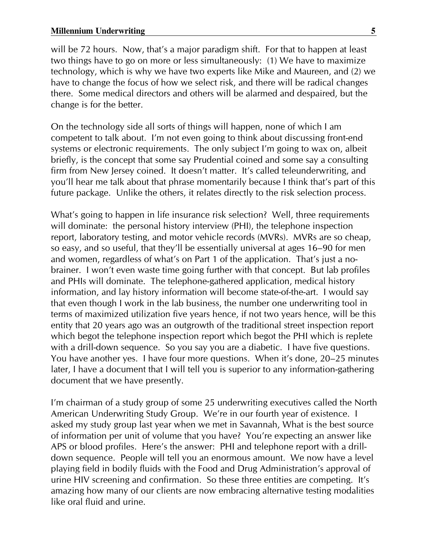## Millennium Underwriting 5

will be 72 hours. Now, that's a major paradigm shift. For that to happen at least two things have to go on more or less simultaneously: (1) We have to maximize technology, which is why we have two experts like Mike and Maureen, and (2) we have to change the focus of how we select risk, and there will be radical changes there. Some medical directors and others will be alarmed and despaired, but the change is for the better.

On the technology side all sorts of things will happen, none of which I am competent to talk about. I'm not even going to think about discussing front-end systems or electronic requirements. The only subject I'm going to wax on, albeit briefly, is the concept that some say Prudential coined and some say a consulting firm from New Jersey coined. It doesn't matter. It's called teleunderwriting, and you'll hear me talk about that phrase momentarily because I think that's part of this future package. Unlike the others, it relates directly to the risk selection process.

What's going to happen in life insurance risk selection? Well, three requirements will dominate: the personal history interview (PHI), the telephone inspection report, laboratory testing, and motor vehicle records (MVRs). MVRs are so cheap, so easy, and so useful, that they'll be essentially universal at ages 16-90 for men and women, regardless of what's on Part 1 of the application. That's just a nobrainer. I won't even waste time going further with that concept. But lab profiles and PHIs will dominate. The telephone-gathered application, medical history information, and lay history information will become state-of-the-art. I would say that even though I work in the lab business, the number one underwriting tool in terms of maximized utilization five years hence, if not two years hence, will be this entity that 20 years ago was an outgrowth of the traditional street inspection report which begot the telephone inspection report which begot the PHI which is replete with a drill-down sequence. So you say you are a diabetic. I have five questions. You have another yes. I have four more questions. When it's done, 20-25 minutes later, I have a document that I will tell you is superior to any information-gathering document that we have presently.

I'm chairman of a study group of some 25 underwriting executives called the North American Underwriting Study Group. We're in our fourth year of existence. I asked my study group last year when we met in Savannah, What is the best source of information per unit of volume that you have? You're expecting an answer like APS or blood profiles. Here's the answer: PHI and telephone report with a drilldown sequence. People will tell you an enormous amount. We now have a level playing field in bodily fluids with the Food and Drug Administration's approval of urine HIV screening and confirmation. So these three entities are competing. It's amazing how many of our clients are now embracing alternative testing modalities like oral fluid and urine.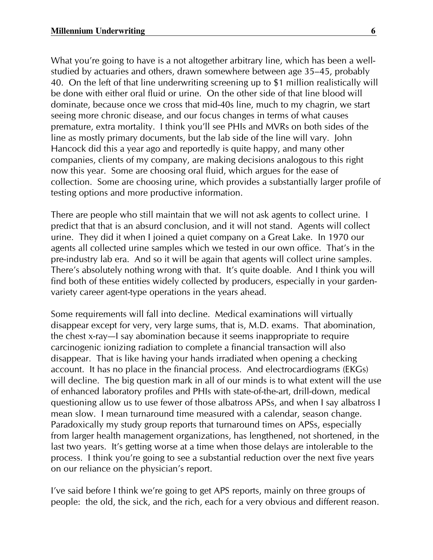What you're going to have is a not altogether arbitrary line, which has been a wellstudied by actuaries and others, drawn somewhere between age 35-45, probably 40. On the left of that line underwriting screening up to \$1 million realistically will be done with either oral fluid or urine. On the other side of that line blood will dominate, because once we cross that mid-40s line, much to my chagrin, we start seeing more chronic disease, and our focus changes in terms of what causes premature, extra mortality. I think you'll see PHIs and MVRs on both sides of the line as mostly primary documents, but the lab side of the line will vary. John Hancock did this a year ago and reportedly is quite happy, and many other companies, clients of my company, are making decisions analogous to this right now this year. Some are choosing oral fluid, which argues for the ease of collection. Some are choosing urine, which provides a substantially larger profile of testing options and more productive information.

There are people who still maintain that we will not ask agents to collect urine. I predict that that is an absurd conclusion, and it will not stand. Agents will collect urine. They did it when I joined a quiet company on a Great Lake. In 1970 our agents all collected urine samples which we tested in our own office. That's in the pre-industry lab era. And so it will be again that agents will collect urine samples. There's absolutely nothing wrong with that. It's quite doable. And I think you will find both of these entities widely collected by producers, especially in your gardenvariety career agent-type operations in the years ahead.

Some requirements will fall into decline. Medical examinations will virtually disappear except for very, very large sums, that is, M.D. exams. That abomination, the chest x-ray-I say abomination because it seems inappropriate to require carcinogenic ionizing radiation to complete a financial transaction will also disappear. That is like having your hands irradiated when opening a checking account. It has no place in the financial process. And electrocardiograms (EKGs) will decline. The big question mark in all of our minds is to what extent will the use of enhanced laboratory profiles and PHIs with state-of-the-art, drill-down, medical questioning allow us to use fewer of those albatross APSs, and when I say albatross I mean slow. I mean turnaround time measured with a calendar, season change. Paradoxically my study group reports that turnaround times on APSs, especially from larger health management organizations, has lengthened, not shortened, in the last two years. It's getting worse at a time when those delays are intolerable to the process. I think you're going to see a substantial reduction over the next five years on our reliance on the physician's report.

I've said before I think we're going to get APS reports, mainly on three groups of people: the old, the sick, and the rich, each for a very obvious and different reason.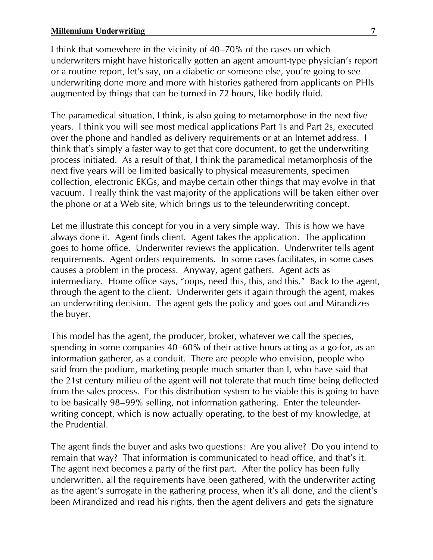I think that somewhere in the vicinity of 40-70% of the cases on which underwriters might have historically gotten an agent amount-type physician's report or a routine report, let's say, on a diabetic or someone else, you're going to see underwriting done more and more with histories gathered from applicants on PHIs augmented by things that can be turned in 72 hours, like bodily fluid.

The paramedical situation, I think, is also going to metamorphose in the next five years. I think you will see most medical applications Part 1s and Part 2s, executed over the phone and handled as delivery requirements or at an Internet address. I think that's simply a faster way to get that core document, to get the underwriting process initiated. As a result of that, I think the paramedical metamorphosis of the next five years will be limited basically to physical measurements, specimen collection, electronic EKGs, and maybe certain other things that may evolve in that vacuum. I really think the vast majority of the applications will be taken either over the phone or at a Web site, which brings us to the teleunderwriting concept.

Let me illustrate this concept for you in a very simple way. This is how we have always done it. Agent finds client. Agent takes the application. The application goes to home office. Underwriter reviews the application. Underwriter tells agent requirements. Agent orders requirements. In some cases facilitates, in some cases causes a problem in the process. Anyway, agent gathers. Agent acts as intermediary. Home office says, "oops, need this, this, and this." Back to the agent, through the agent to the client. Underwriter gets it again through the agent, makes an underwriting decision. The agent gets the policy and goes out and Mirandizes the buyer.

This model has the agent, the producer, broker, whatever we call the species, spending in some companies 40-60% of their active hours acting as a go-for, as an information gatherer, as a conduit. There are people who envision, people who said from the podium, marketing people much smarter than I, who have said that the 21st century milieu of the agent will not tolerate that much time being deflected from the sales process. For this distribution system to be viable this is going to have to be basically 98-99% selling, not information gathering. Enter the teleunderwriting concept, which is now actually operating, to the best of my knowledge, at the Prudential.

The agent finds the buyer and asks two questions: Are you alive? Do you intend to remain that way? That information is communicated to head office, and that's it. The agent next becomes a party of the first part. After the policy has been fully underwritten, all the requirements have been gathered, with the underwriter acting as the agent's surrogate in the gathering process, when it's all done, and the client's been Mirandized and read his rights, then the agent delivers and gets the signature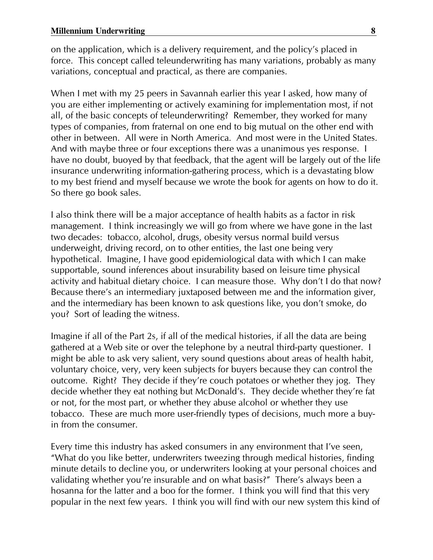on the application, which is a delivery requirement, and the policy's placed in force. This concept called teleunderwriting has many variations, probably as many variations, conceptual and practical, as there are companies.

When I met with my 25 peers in Savannah earlier this year I asked, how many of you are either implementing or actively examining for implementation most, if not all, of the basic concepts of teleunderwriting? Remember, they worked for many types of companies, from fraternal on one end to big mutual on the other end with other in between. All were in North America. And most were in the United States. And with maybe three or four exceptions there was a unanimous yes response. I have no doubt, buoyed by that feedback, that the agent will be largely out of the life insurance underwriting information-gathering process, which is a devastating blow to my best friend and myself because we wrote the book for agents on how to do it. So there go book sales.

I also think there will be a major acceptance of health habits as a factor in risk management. I think increasingly we will go from where we have gone in the last two decades: tobacco, alcohol, drugs, obesity versus normal build versus underweight, driving record, on to other entities, the last one being very hypothetical. Imagine, I have good epidemiological data with which I can make supportable, sound inferences about insurability based on leisure time physical activity and habitual dietary choice. I can measure those. Why don't I do that now? Because there's an intermediary juxtaposed between me and the information giver, and the intermediary has been known to ask questions like, you don't smoke, do you? Sort of leading the witness.

Imagine if all of the Part 2s, if all of the medical histories, if all the data are being gathered at a Web site or over the telephone by a neutral third-party questioner. I might be able to ask very salient, very sound questions about areas of health habit, voluntary choice, very, very keen subjects for buyers because they can control the outcome. Right? They decide if they're couch potatoes or whether they jog. They decide whether they eat nothing but McDonald's. They decide whether they're fat or not, for the most part, or whether they abuse alcohol or whether they use tobacco. These are much more user-friendly types of decisions, much more a buyin from the consumer.

Every time this industry has asked consumers in any environment that I've seen, "What do you like better, underwriters tweezing through medical histories, finding minute details to decline you, or underwriters looking at your personal choices and validating whether you're insurable and on what basis?" There's always been a hosanna for the latter and a boo for the former. I think you will find that this very popular in the next few years. I think you will find with our new system this kind of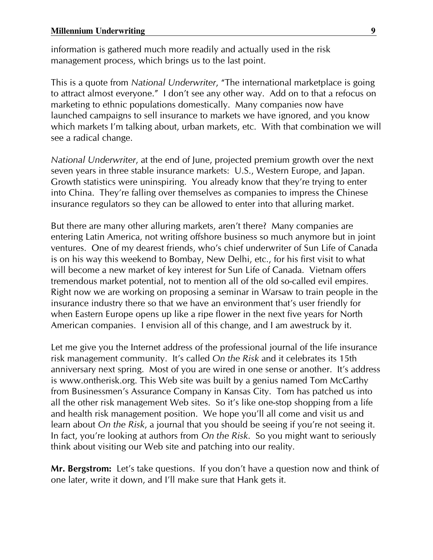information is gathered much more readily and actually used in the risk management process, which brings us to the last point.

This is a quote from National Underwriter, "The international marketplace is going to attract almost everyone." I don't see any other way. Add on to that a refocus on marketing to ethnic populations domestically. Many companies now have launched campaigns to sell insurance to markets we have ignored, and you know which markets I'm talking about, urban markets, etc. With that combination we will see a radical change.

National Underwriter, at the end of June, projected premium growth over the next seven years in three stable insurance markets: U.S., Western Europe, and Japan. Growth statistics were uninspiring. You already know that they're trying to enter into China. They're falling over themselves as companies to impress the Chinese insurance regulators so they can be allowed to enter into that alluring market.

But there are many other alluring markets, aren't there? Many companies are entering Latin America, not writing offshore business so much anymore but in joint ventures. One of my dearest friends, who's chief underwriter of Sun Life of Canada is on his way this weekend to Bombay, New Delhi, etc., for his first visit to what will become a new market of key interest for Sun Life of Canada. Vietnam offers tremendous market potential, not to mention all of the old so-called evil empires. Right now we are working on proposing a seminar in Warsaw to train people in the insurance industry there so that we have an environment that's user friendly for when Eastern Europe opens up like a ripe flower in the next five years for North American companies. I envision all of this change, and I am awestruck by it.

Let me give you the Internet address of the professional journal of the life insurance risk management community. It's called On the Risk and it celebrates its 15th anniversary next spring. Most of you are wired in one sense or another. It's address is www.ontherisk.org. This Web site was built by a genius named Tom McCarthy from Businessmen's Assurance Company in Kansas City. Tom has patched us into all the other risk management Web sites. So it's like one-stop shopping from a life and health risk management position. We hope you'll all come and visit us and learn about On the Risk, a journal that you should be seeing if you're not seeing it. In fact, you're looking at authors from On the Risk. So you might want to seriously think about visiting our Web site and patching into our reality.

Mr. Bergstrom: Let's take questions. If you don't have a question now and think of one later, write it down, and I'll make sure that Hank gets it.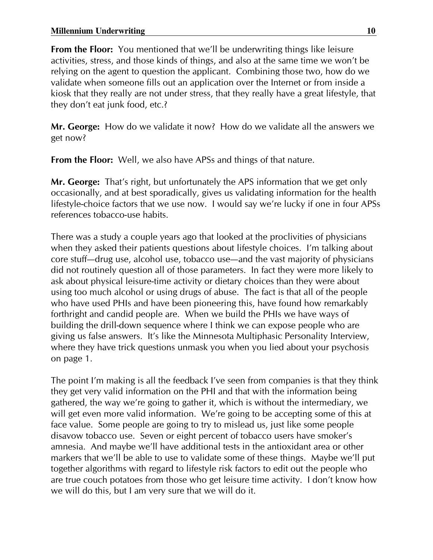## Millennium Underwriting 10

From the Floor: You mentioned that we'll be underwriting things like leisure activities, stress, and those kinds of things, and also at the same time we won't be relying on the agent to question the applicant. Combining those two, how do we validate when someone fills out an application over the Internet or from inside a kiosk that they really are not under stress, that they really have a great lifestyle, that they don't eat junk food, etc.?

Mr. George: How do we validate it now? How do we validate all the answers we get now?

From the Floor: Well, we also have APSs and things of that nature.

Mr. George: That's right, but unfortunately the APS information that we get only occasionally, and at best sporadically, gives us validating information for the health lifestyle-choice factors that we use now. I would say we're lucky if one in four APSs references tobacco-use habits.

There was a study a couple years ago that looked at the proclivities of physicians when they asked their patients questions about lifestyle choices. I'm talking about core stuff-drug use, alcohol use, tobacco use-and the vast majority of physicians did not routinely question all of those parameters. In fact they were more likely to ask about physical leisure-time activity or dietary choices than they were about using too much alcohol or using drugs of abuse. The fact is that all of the people who have used PHIs and have been pioneering this, have found how remarkably forthright and candid people are. When we build the PHIs we have ways of building the drill-down sequence where I think we can expose people who are giving us false answers. It's like the Minnesota Multiphasic Personality Interview, where they have trick questions unmask you when you lied about your psychosis on page 1.

The point I'm making is all the feedback I've seen from companies is that they think they get very valid information on the PHI and that with the information being gathered, the way we're going to gather it, which is without the intermediary, we will get even more valid information. We're going to be accepting some of this at face value. Some people are going to try to mislead us, just like some people disavow tobacco use. Seven or eight percent of tobacco users have smoker's amnesia. And maybe we'll have additional tests in the antioxidant area or other markers that we'll be able to use to validate some of these things. Maybe we'll put together algorithms with regard to lifestyle risk factors to edit out the people who are true couch potatoes from those who get leisure time activity. I don't know how we will do this, but I am very sure that we will do it.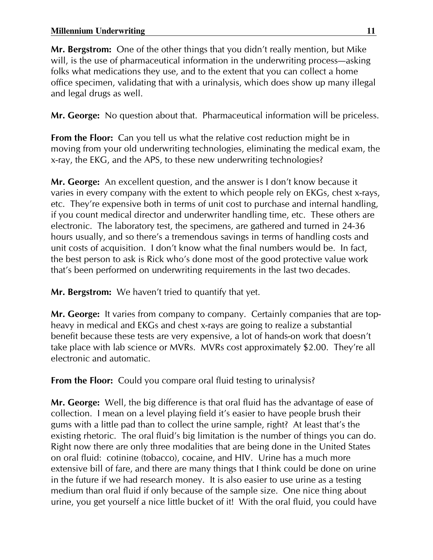Mr. Bergstrom: One of the other things that you didn't really mention, but Mike will, is the use of pharmaceutical information in the underwriting process—asking folks what medications they use, and to the extent that you can collect a home office specimen, validating that with a urinalysis, which does show up many illegal and legal drugs as well.

Mr. George: No question about that. Pharmaceutical information will be priceless.

From the Floor: Can you tell us what the relative cost reduction might be in moving from your old underwriting technologies, eliminating the medical exam, the x-ray, the EKG, and the APS, to these new underwriting technologies?

Mr. George: An excellent question, and the answer is I don't know because it varies in every company with the extent to which people rely on EKGs, chest x-rays, etc. They're expensive both in terms of unit cost to purchase and internal handling, if you count medical director and underwriter handling time, etc. These others are electronic. The laboratory test, the specimens, are gathered and turned in 24-36 hours usually, and so there's a tremendous savings in terms of handling costs and unit costs of acquisition. I don't know what the final numbers would be. In fact, the best person to ask is Rick who's done most of the good protective value work that's been performed on underwriting requirements in the last two decades.

Mr. Bergstrom: We haven't tried to quantify that yet.

Mr. George: It varies from company to company. Certainly companies that are topheavy in medical and EKGs and chest x-rays are going to realize a substantial benefit because these tests are very expensive, a lot of hands-on work that doesn't take place with lab science or MVRs. MVRs cost approximately \$2.00. They're all electronic and automatic.

From the Floor: Could you compare oral fluid testing to urinalysis?

Mr. George: Well, the big difference is that oral fluid has the advantage of ease of collection. I mean on a level playing field it's easier to have people brush their gums with a little pad than to collect the urine sample, right? At least that's the existing rhetoric. The oral fluid's big limitation is the number of things you can do. Right now there are only three modalities that are being done in the United States on oral fluid: cotinine (tobacco), cocaine, and HIV. Urine has a much more extensive bill of fare, and there are many things that I think could be done on urine in the future if we had research money. It is also easier to use urine as a testing medium than oral fluid if only because of the sample size. One nice thing about urine, you get yourself a nice little bucket of it! With the oral fluid, you could have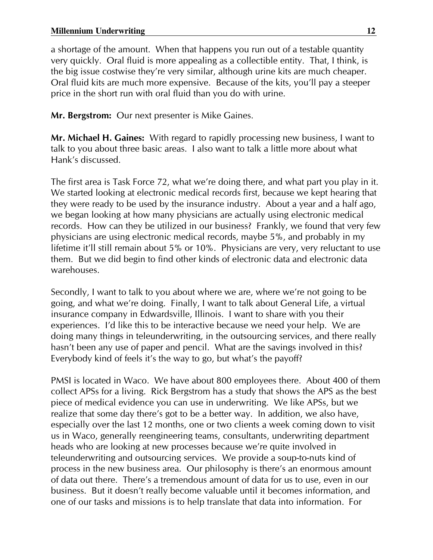a shortage of the amount. When that happens you run out of a testable quantity very quickly. Oral fluid is more appealing as a collectible entity. That, I think, is the big issue costwise they're very similar, although urine kits are much cheaper. Oral fluid kits are much more expensive. Because of the kits, you'll pay a steeper price in the short run with oral fluid than you do with urine.

Mr. Bergstrom: Our next presenter is Mike Gaines.

Mr. Michael H. Gaines: With regard to rapidly processing new business, I want to talk to you about three basic areas. I also want to talk a little more about what Hank's discussed.

The first area is Task Force 72, what we're doing there, and what part you play in it. We started looking at electronic medical records first, because we kept hearing that they were ready to be used by the insurance industry. About a year and a half ago, we began looking at how many physicians are actually using electronic medical records. How can they be utilized in our business? Frankly, we found that very few physicians are using electronic medical records, maybe 5%, and probably in my lifetime it'll still remain about 5% or 10%. Physicians are very, very reluctant to use them. But we did begin to find other kinds of electronic data and electronic data warehouses.

Secondly, I want to talk to you about where we are, where we're not going to be going, and what we're doing. Finally, I want to talk about General Life, a virtual insurance company in Edwardsville, Illinois. I want to share with you their experiences. I'd like this to be interactive because we need your help. We are doing many things in teleunderwriting, in the outsourcing services, and there really hasn't been any use of paper and pencil. What are the savings involved in this? Everybody kind of feels it's the way to go, but what's the payoff?

PMSI is located in Waco. We have about 800 employees there. About 400 of them collect APSs for a living. Rick Bergstrom has a study that shows the APS as the best piece of medical evidence you can use in underwriting. We like APSs, but we realize that some day there's got to be a better way. In addition, we also have, especially over the last 12 months, one or two clients a week coming down to visit us in Waco, generally reengineering teams, consultants, underwriting department heads who are looking at new processes because we're quite involved in teleunderwriting and outsourcing services. We provide a soup-to-nuts kind of process in the new business area. Our philosophy is there's an enormous amount of data out there. There's a tremendous amount of data for us to use, even in our business. But it doesn't really become valuable until it becomes information, and one of our tasks and missions is to help translate that data into information. For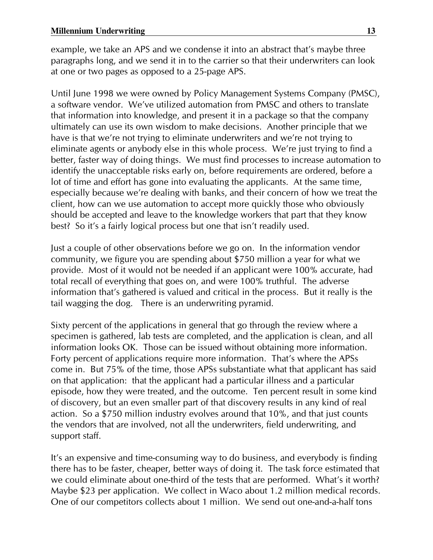example, we take an APS and we condense it into an abstract that's maybe three paragraphs long, and we send it in to the carrier so that their underwriters can look at one or two pages as opposed to a 25-page APS.

Until June 1998 we were owned by Policy Management Systems Company (PMSC), a software vendor. We've utilized automation from PMSC and others to translate that information into knowledge, and present it in a package so that the company ultimately can use its own wisdom to make decisions. Another principle that we have is that we're not trying to eliminate underwriters and we're not trying to eliminate agents or anybody else in this whole process. We're just trying to find a better, faster way of doing things. We must find processes to increase automation to identify the unacceptable risks early on, before requirements are ordered, before a lot of time and effort has gone into evaluating the applicants. At the same time, especially because we're dealing with banks, and their concern of how we treat the client, how can we use automation to accept more quickly those who obviously should be accepted and leave to the knowledge workers that part that they know best? So it's a fairly logical process but one that isn't readily used.

Just a couple of other observations before we go on. In the information vendor community, we figure you are spending about \$750 million a year for what we provide. Most of it would not be needed if an applicant were 100% accurate, had total recall of everything that goes on, and were 100% truthful. The adverse information that's gathered is valued and critical in the process. But it really is the tail wagging the dog. There is an underwriting pyramid.

Sixty percent of the applications in general that go through the review where a specimen is gathered, lab tests are completed, and the application is clean, and all information looks OK. Those can be issued without obtaining more information. Forty percent of applications require more information. That's where the APSs come in. But 75% of the time, those APSs substantiate what that applicant has said on that application: that the applicant had a particular illness and a particular episode, how they were treated, and the outcome. Ten percent result in some kind of discovery, but an even smaller part of that discovery results in any kind of real action. So a \$750 million industry evolves around that 10%, and that just counts the vendors that are involved, not all the underwriters, field underwriting, and support staff.

It's an expensive and time-consuming way to do business, and everybody is finding there has to be faster, cheaper, better ways of doing it. The task force estimated that we could eliminate about one-third of the tests that are performed. What's it worth? Maybe \$23 per application. We collect in Waco about 1.2 million medical records. One of our competitors collects about 1 million. We send out one-and-a-half tons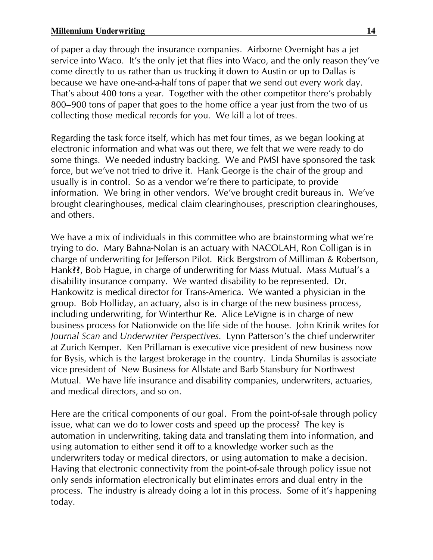of paper a day through the insurance companies. Airborne Overnight has a jet service into Waco. It's the only jet that flies into Waco, and the only reason they've come directly to us rather than us trucking it down to Austin or up to Dallas is because we have one-and-a-half tons of paper that we send out every work day. That's about 400 tons a year. Together with the other competitor there's probably 800-900 tons of paper that goes to the home office a year just from the two of us collecting those medical records for you. We kill a lot of trees.

Regarding the task force itself, which has met four times, as we began looking at electronic information and what was out there, we felt that we were ready to do some things. We needed industry backing. We and PMSI have sponsored the task force, but we've not tried to drive it. Hank George is the chair of the group and usually is in control. So as a vendor we're there to participate, to provide information. We bring in other vendors. We've brought credit bureaus in. We've brought clearinghouses, medical claim clearinghouses, prescription clearinghouses, and others.

We have a mix of individuals in this committee who are brainstorming what we're trying to do. Mary Bahna-Nolan is an actuary with NACOLAH, Ron Colligan is in charge of underwriting for Jefferson Pilot. Rick Bergstrom of Milliman & Robertson, Hank??, Bob Hague, in charge of underwriting for Mass Mutual. Mass Mutual's a disability insurance company. We wanted disability to be represented. Dr. Hankowitz is medical director for Trans-America. We wanted a physician in the group. Bob Holliday, an actuary, also is in charge of the new business process, including underwriting, for Winterthur Re. Alice LeVigne is in charge of new business process for Nationwide on the life side of the house. John Krinik writes for Journal Scan and Underwriter Perspectives. Lynn Patterson's the chief underwriter at Zurich Kemper. Ken Prillaman is executive vice president of new business now for Bysis, which is the largest brokerage in the country. Linda Shumilas is associate vice president of New Business for Allstate and Barb Stansbury for Northwest Mutual. We have life insurance and disability companies, underwriters, actuaries, and medical directors, and so on.

Here are the critical components of our goal. From the point-of-sale through policy issue, what can we do to lower costs and speed up the process? The key is automation in underwriting, taking data and translating them into information, and using automation to either send it off to a knowledge worker such as the underwriters today or medical directors, or using automation to make a decision. Having that electronic connectivity from the point-of-sale through policy issue not only sends information electronically but eliminates errors and dual entry in the process. The industry is already doing a lot in this process. Some of it's happening today.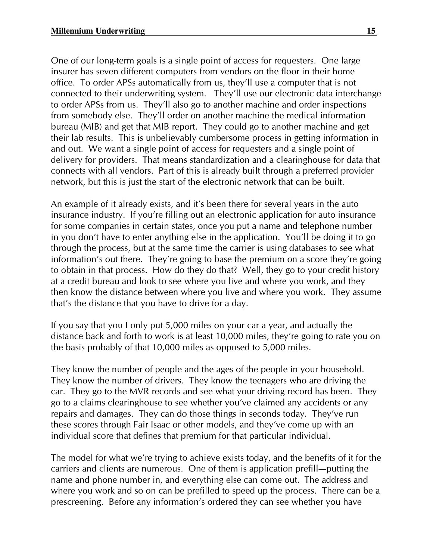One of our long-term goals is a single point of access for requesters. One large insurer has seven different computers from vendors on the floor in their home office. To order APSs automatically from us, they'll use a computer that is not connected to their underwriting system. They'll use our electronic data interchange to order APSs from us. They'll also go to another machine and order inspections from somebody else. They'll order on another machine the medical information bureau (MIB) and get that MIB report. They could go to another machine and get their lab results. This is unbelievably cumbersome process in getting information in and out. We want a single point of access for requesters and a single point of delivery for providers. That means standardization and a clearinghouse for data that connects with all vendors. Part of this is already built through a preferred provider network, but this is just the start of the electronic network that can be built.

An example of it already exists, and it's been there for several years in the auto insurance industry. If you're filling out an electronic application for auto insurance for some companies in certain states, once you put a name and telephone number in you don't have to enter anything else in the application. You'll be doing it to go through the process, but at the same time the carrier is using databases to see what information's out there. They're going to base the premium on a score they're going to obtain in that process. How do they do that? Well, they go to your credit history at a credit bureau and look to see where you live and where you work, and they then know the distance between where you live and where you work. They assume that's the distance that you have to drive for a day.

If you say that you I only put 5,000 miles on your car a year, and actually the distance back and forth to work is at least 10,000 miles, they're going to rate you on the basis probably of that 10,000 miles as opposed to 5,000 miles.

They know the number of people and the ages of the people in your household. They know the number of drivers. They know the teenagers who are driving the car. They go to the MVR records and see what your driving record has been. They go to a claims clearinghouse to see whether you've claimed any accidents or any repairs and damages. They can do those things in seconds today. They've run these scores through Fair Isaac or other models, and they've come up with an individual score that defines that premium for that particular individual.

The model for what we're trying to achieve exists today, and the benefits of it for the carriers and clients are numerous. One of them is application prefill-putting the name and phone number in, and everything else can come out. The address and where you work and so on can be prefilled to speed up the process. There can be a prescreening. Before any information's ordered they can see whether you have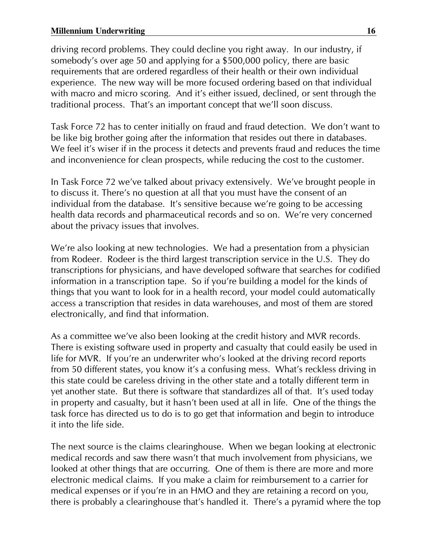driving record problems. They could decline you right away. In our industry, if somebody's over age 50 and applying for a \$500,000 policy, there are basic requirements that are ordered regardless of their health or their own individual experience. The new way will be more focused ordering based on that individual with macro and micro scoring. And it's either issued, declined, or sent through the traditional process. That's an important concept that we'll soon discuss.

Task Force 72 has to center initially on fraud and fraud detection. We don't want to be like big brother going after the information that resides out there in databases. We feel it's wiser if in the process it detects and prevents fraud and reduces the time and inconvenience for clean prospects, while reducing the cost to the customer.

In Task Force 72 we've talked about privacy extensively. We've brought people in to discuss it. There's no question at all that you must have the consent of an individual from the database. It's sensitive because we're going to be accessing health data records and pharmaceutical records and so on. We're very concerned about the privacy issues that involves.

We're also looking at new technologies. We had a presentation from a physician from Rodeer. Rodeer is the third largest transcription service in the U.S. They do transcriptions for physicians, and have developed software that searches for codified information in a transcription tape. So if you're building a model for the kinds of things that you want to look for in a health record, your model could automatically access a transcription that resides in data warehouses, and most of them are stored electronically, and find that information.

As a committee we've also been looking at the credit history and MVR records. There is existing software used in property and casualty that could easily be used in life for MVR. If you're an underwriter who's looked at the driving record reports from 50 different states, you know it's a confusing mess. What's reckless driving in this state could be careless driving in the other state and a totally different term in yet another state. But there is software that standardizes all of that. It's used today in property and casualty, but it hasn't been used at all in life. One of the things the task force has directed us to do is to go get that information and begin to introduce it into the life side.

The next source is the claims clearinghouse. When we began looking at electronic medical records and saw there wasn't that much involvement from physicians, we looked at other things that are occurring. One of them is there are more and more electronic medical claims. If you make a claim for reimbursement to a carrier for medical expenses or if you're in an HMO and they are retaining a record on you, there is probably a clearinghouse that's handled it. There's a pyramid where the top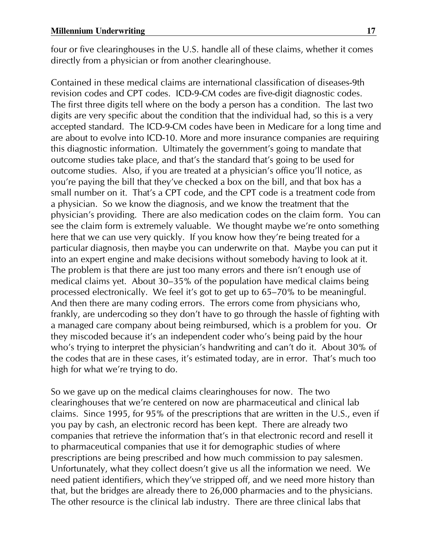four or five clearinghouses in the U.S. handle all of these claims, whether it comes directly from a physician or from another clearinghouse.

Contained in these medical claims are international classification of diseases-9th revision codes and CPT codes. ICD-9-CM codes are five-digit diagnostic codes. The first three digits tell where on the body a person has a condition. The last two digits are very specific about the condition that the individual had, so this is a very accepted standard. The ICD-9-CM codes have been in Medicare for a long time and are about to evolve into ICD-10. More and more insurance companies are requiring this diagnostic information. Ultimately the government's going to mandate that outcome studies take place, and that's the standard that's going to be used for outcome studies. Also, if you are treated at a physician's office you'll notice, as you're paying the bill that they've checked a box on the bill, and that box has a small number on it. That's a CPT code, and the CPT code is a treatment code from a physician. So we know the diagnosis, and we know the treatment that the physician's providing. There are also medication codes on the claim form. You can see the claim form is extremely valuable. We thought maybe we're onto something here that we can use very quickly. If you know how they're being treated for a particular diagnosis, then maybe you can underwrite on that. Maybe you can put it into an expert engine and make decisions without somebody having to look at it. The problem is that there are just too many errors and there isn't enough use of medical claims yet. About 30-35% of the population have medical claims being processed electronically. We feel it's got to get up to 65-70% to be meaningful. And then there are many coding errors. The errors come from physicians who, frankly, are undercoding so they don't have to go through the hassle of fighting with a managed care company about being reimbursed, which is a problem for you. Or they miscoded because it's an independent coder who's being paid by the hour who's trying to interpret the physician's handwriting and can't do it. About 30% of the codes that are in these cases, it's estimated today, are in error. That's much too high for what we're trying to do.

So we gave up on the medical claims clearinghouses for now. The two clearinghouses that we're centered on now are pharmaceutical and clinical lab claims. Since 1995, for 95% of the prescriptions that are written in the U.S., even if you pay by cash, an electronic record has been kept. There are already two companies that retrieve the information that's in that electronic record and resell it to pharmaceutical companies that use it for demographic studies of where prescriptions are being prescribed and how much commission to pay salesmen. Unfortunately, what they collect doesn't give us all the information we need. We need patient identifiers, which they've stripped off, and we need more history than that, but the bridges are already there to 26,000 pharmacies and to the physicians. The other resource is the clinical lab industry. There are three clinical labs that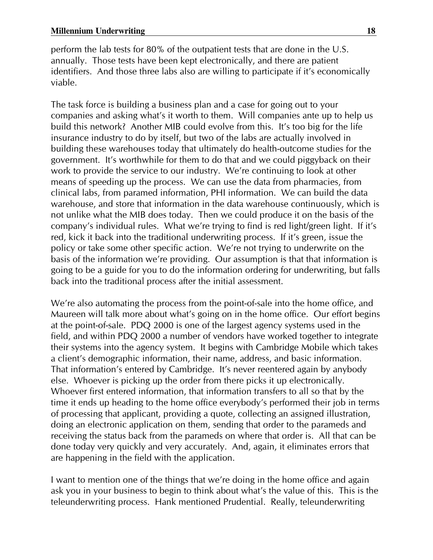perform the lab tests for 80% of the outpatient tests that are done in the U.S. annually. Those tests have been kept electronically, and there are patient identifiers. And those three labs also are willing to participate if it's economically viable.

The task force is building a business plan and a case for going out to your companies and asking what's it worth to them. Will companies ante up to help us build this network? Another MIB could evolve from this. It's too big for the life insurance industry to do by itself, but two of the labs are actually involved in building these warehouses today that ultimately do health-outcome studies for the government. It's worthwhile for them to do that and we could piggyback on their work to provide the service to our industry. We're continuing to look at other means of speeding up the process. We can use the data from pharmacies, from clinical labs, from paramed information, PHI information. We can build the data warehouse, and store that information in the data warehouse continuously, which is not unlike what the MIB does today. Then we could produce it on the basis of the company's individual rules. What we're trying to find is red light/green light. If it's red, kick it back into the traditional underwriting process. If it's green, issue the policy or take some other specific action. We're not trying to underwrite on the basis of the information we're providing. Our assumption is that that information is going to be a guide for you to do the information ordering for underwriting, but falls back into the traditional process after the initial assessment.

We're also automating the process from the point-of-sale into the home office, and Maureen will talk more about what's going on in the home office. Our effort begins at the point-of-sale. PDQ 2000 is one of the largest agency systems used in the field, and within PDQ 2000 a number of vendors have worked together to integrate their systems into the agency system. It begins with Cambridge Mobile which takes a client's demographic information, their name, address, and basic information. That information's entered by Cambridge. It's never reentered again by anybody else. Whoever is picking up the order from there picks it up electronically. Whoever first entered information, that information transfers to all so that by the time it ends up heading to the home office everybody's performed their job in terms of processing that applicant, providing a quote, collecting an assigned illustration, doing an electronic application on them, sending that order to the parameds and receiving the status back from the parameds on where that order is. All that can be done today very quickly and very accurately. And, again, it eliminates errors that are happening in the field with the application.

I want to mention one of the things that we're doing in the home office and again ask you in your business to begin to think about what's the value of this. This is the teleunderwriting process. Hank mentioned Prudential. Really, teleunderwriting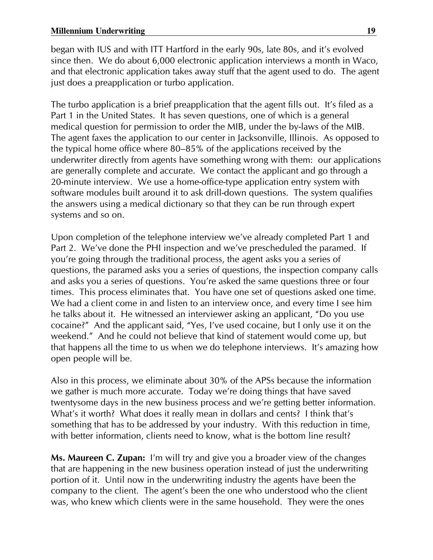began with IUS and with ITT Hartford in the early 90s, late 80s, and it's evolved since then. We do about 6,000 electronic application interviews a month in Waco, and that electronic application takes away stuff that the agent used to do. The agent just does a preapplication or turbo application.

The turbo application is a brief preapplication that the agent fills out. It's filed as a Part 1 in the United States. It has seven questions, one of which is a general medical question for permission to order the MIB, under the by-laws of the MIB. The agent faxes the application to our center in Jacksonville, Illinois. As opposed to the typical home office where 80-85% of the applications received by the underwriter directly from agents have something wrong with them: our applications are generally complete and accurate. We contact the applicant and go through a 20-minute interview. We use a home-office-type application entry system with software modules built around it to ask drill-down questions. The system qualifies the answers using a medical dictionary so that they can be run through expert systems and so on.

Upon completion of the telephone interview we've already completed Part 1 and Part 2. We've done the PHI inspection and we've prescheduled the paramed. If you're going through the traditional process, the agent asks you a series of questions, the paramed asks you a series of questions, the inspection company calls and asks you a series of questions. You're asked the same questions three or four times. This process eliminates that. You have one set of questions asked one time. We had a client come in and listen to an interview once, and every time I see him he talks about it. He witnessed an interviewer asking an applicant, "Do you use cocaine?" And the applicant said, "Yes, I've used cocaine, but I only use it on the weekend." And he could not believe that kind of statement would come up, but that happens all the time to us when we do telephone interviews. It's amazing how open people will be.

Also in this process, we eliminate about 30% of the APSs because the information we gather is much more accurate. Today we're doing things that have saved twentysome days in the new business process and we're getting better information. What's it worth? What does it really mean in dollars and cents? I think that's something that has to be addressed by your industry. With this reduction in time, with better information, clients need to know, what is the bottom line result?

Ms. Maureen C. Zupan: I'm will try and give you a broader view of the changes that are happening in the new business operation instead of just the underwriting portion of it. Until now in the underwriting industry the agents have been the company to the client. The agent's been the one who understood who the client was, who knew which clients were in the same household. They were the ones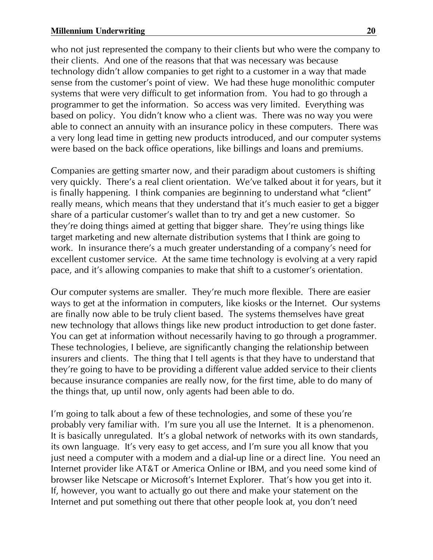who not just represented the company to their clients but who were the company to their clients. And one of the reasons that that was necessary was because technology didn't allow companies to get right to a customer in a way that made sense from the customer's point of view. We had these huge monolithic computer systems that were very difficult to get information from. You had to go through a programmer to get the information. So access was very limited. Everything was based on policy. You didn't know who a client was. There was no way you were able to connect an annuity with an insurance policy in these computers. There was a very long lead time in getting new products introduced, and our computer systems were based on the back office operations, like billings and loans and premiums.

Companies are getting smarter now, and their paradigm about customers is shifting very quickly. There's a real client orientation. We've talked about it for years, but it is finally happening. I think companies are beginning to understand what "client" really means, which means that they understand that it's much easier to get a bigger share of a particular customer's wallet than to try and get a new customer. So they're doing things aimed at getting that bigger share. They're using things like target marketing and new alternate distribution systems that I think are going to work. In insurance there's a much greater understanding of a company's need for excellent customer service. At the same time technology is evolving at a very rapid pace, and it's allowing companies to make that shift to a customer's orientation.

Our computer systems are smaller. They're much more flexible. There are easier ways to get at the information in computers, like kiosks or the Internet. Our systems are finally now able to be truly client based. The systems themselves have great new technology that allows things like new product introduction to get done faster. You can get at information without necessarily having to go through a programmer. These technologies, I believe, are significantly changing the relationship between insurers and clients. The thing that I tell agents is that they have to understand that they're going to have to be providing a different value added service to their clients because insurance companies are really now, for the first time, able to do many of the things that, up until now, only agents had been able to do.

I'm going to talk about a few of these technologies, and some of these you're probably very familiar with. I'm sure you all use the Internet. It is a phenomenon. It is basically unregulated. It's a global network of networks with its own standards, its own language. It's very easy to get access, and I'm sure you all know that you just need a computer with a modem and a dial-up line or a direct line. You need an Internet provider like AT&T or America Online or IBM, and you need some kind of browser like Netscape or Microsoft's Internet Explorer. That's how you get into it. If, however, you want to actually go out there and make your statement on the Internet and put something out there that other people look at, you don't need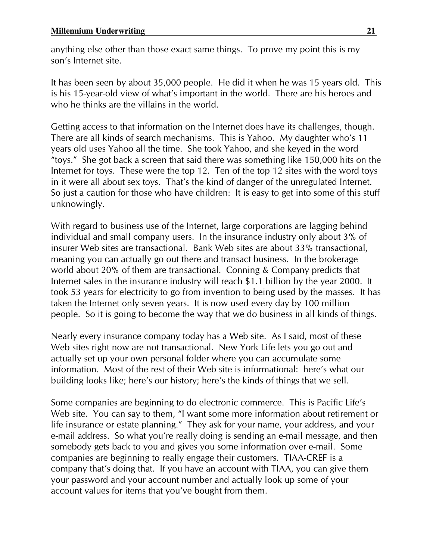anything else other than those exact same things. To prove my point this is my son's Internet site.

It has been seen by about 35,000 people. He did it when he was 15 years old. This is his 15-year-old view of what's important in the world. There are his heroes and who he thinks are the villains in the world.

Getting access to that information on the Internet does have its challenges, though. There are all kinds of search mechanisms. This is Yahoo. My daughter who's 11 years old uses Yahoo all the time. She took Yahoo, and she keyed in the word "toys." She got back a screen that said there was something like 150,000 hits on the Internet for toys. These were the top 12. Ten of the top 12 sites with the word toys in it were all about sex toys. That's the kind of danger of the unregulated Internet. So just a caution for those who have children: It is easy to get into some of this stuff unknowingly.

With regard to business use of the Internet, large corporations are lagging behind individual and small company users. In the insurance industry only about 3% of insurer Web sites are transactional. Bank Web sites are about 33% transactional, meaning you can actually go out there and transact business. In the brokerage world about 20% of them are transactional. Conning & Company predicts that Internet sales in the insurance industry will reach \$1.1 billion by the year 2000. It took 53 years for electricity to go from invention to being used by the masses. It has taken the Internet only seven years. It is now used every day by 100 million people. So it is going to become the way that we do business in all kinds of things.

Nearly every insurance company today has a Web site. As I said, most of these Web sites right now are not transactional. New York Life lets you go out and actually set up your own personal folder where you can accumulate some information. Most of the rest of their Web site is informational: here's what our building looks like; here's our history; here's the kinds of things that we sell.

Some companies are beginning to do electronic commerce. This is Pacific Life's Web site. You can say to them, "I want some more information about retirement or life insurance or estate planning." They ask for your name, your address, and your e-mail address. So what you're really doing is sending an e-mail message, and then somebody gets back to you and gives you some information over e-mail. Some companies are beginning to really engage their customers. TIAA-CREF is a company that's doing that. If you have an account with TIAA, you can give them your password and your account number and actually look up some of your account values for items that you've bought from them.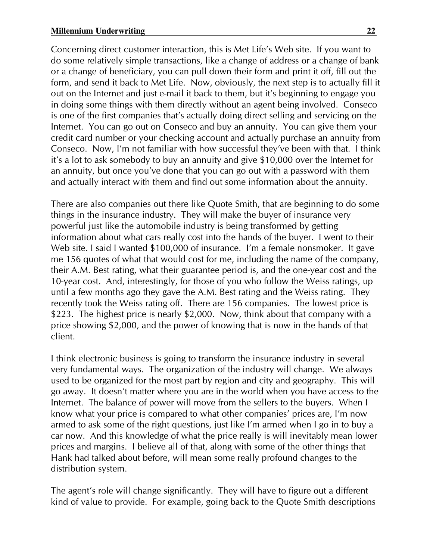Concerning direct customer interaction, this is Met Life's Web site. If you want to do some relatively simple transactions, like a change of address or a change of bank or a change of beneficiary, you can pull down their form and print it off, fill out the form, and send it back to Met Life. Now, obviously, the next step is to actually fill it out on the Internet and just e-mail it back to them, but it's beginning to engage you in doing some things with them directly without an agent being involved. Conseco is one of the first companies that's actually doing direct selling and servicing on the Internet. You can go out on Conseco and buy an annuity. You can give them your credit card number or your checking account and actually purchase an annuity from Conseco. Now, I'm not familiar with how successful they've been with that. I think it's a lot to ask somebody to buy an annuity and give \$10,000 over the Internet for an annuity, but once you've done that you can go out with a password with them and actually interact with them and find out some information about the annuity.

There are also companies out there like Quote Smith, that are beginning to do some things in the insurance industry. They will make the buyer of insurance very powerful just like the automobile industry is being transformed by getting information about what cars really cost into the hands of the buyer. I went to their Web site. I said I wanted \$100,000 of insurance. I'm a female nonsmoker. It gave me 156 quotes of what that would cost for me, including the name of the company, their A.M. Best rating, what their guarantee period is, and the one-year cost and the 10-year cost. And, interestingly, for those of you who follow the Weiss ratings, up until a few months ago they gave the A.M. Best rating and the Weiss rating. They recently took the Weiss rating off. There are 156 companies. The lowest price is \$223. The highest price is nearly \$2,000. Now, think about that company with a price showing \$2,000, and the power of knowing that is now in the hands of that client.

I think electronic business is going to transform the insurance industry in several very fundamental ways. The organization of the industry will change. We always used to be organized for the most part by region and city and geography. This will go away. It doesn't matter where you are in the world when you have access to the Internet. The balance of power will move from the sellers to the buyers. When I know what your price is compared to what other companies' prices are, I'm now armed to ask some of the right questions, just like I'm armed when I go in to buy a car now. And this knowledge of what the price really is will inevitably mean lower prices and margins. I believe all of that, along with some of the other things that Hank had talked about before, will mean some really profound changes to the distribution system.

The agent's role will change significantly. They will have to figure out a different kind of value to provide. For example, going back to the Quote Smith descriptions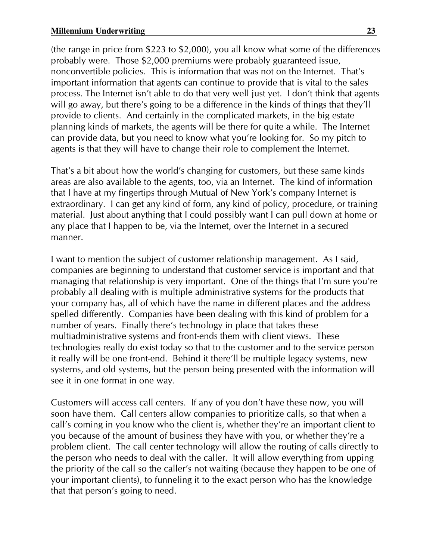(the range in price from \$223 to \$2,000), you all know what some of the differences probably were. Those \$2,000 premiums were probably guaranteed issue, nonconvertible policies. This is information that was not on the Internet. That's important information that agents can continue to provide that is vital to the sales process. The Internet isn't able to do that very well just yet. I don't think that agents will go away, but there's going to be a difference in the kinds of things that they'll provide to clients. And certainly in the complicated markets, in the big estate planning kinds of markets, the agents will be there for quite a while. The Internet can provide data, but you need to know what you're looking for. So my pitch to agents is that they will have to change their role to complement the Internet.

That's a bit about how the world's changing for customers, but these same kinds areas are also available to the agents, too, via an Internet. The kind of information that I have at my fingertips through Mutual of New York's company Internet is extraordinary. I can get any kind of form, any kind of policy, procedure, or training material. Just about anything that I could possibly want I can pull down at home or any place that I happen to be, via the Internet, over the Internet in a secured manner.

I want to mention the subject of customer relationship management. As I said, companies are beginning to understand that customer service is important and that managing that relationship is very important. One of the things that I'm sure you're probably all dealing with is multiple administrative systems for the products that your company has, all of which have the name in different places and the address spelled differently. Companies have been dealing with this kind of problem for a number of years. Finally there's technology in place that takes these multiadministrative systems and front-ends them with client views. These technologies really do exist today so that to the customer and to the service person it really will be one front-end. Behind it there'll be multiple legacy systems, new systems, and old systems, but the person being presented with the information will see it in one format in one way.

Customers will access call centers. If any of you don't have these now, you will soon have them. Call centers allow companies to prioritize calls, so that when a call's coming in you know who the client is, whether they're an important client to you because of the amount of business they have with you, or whether they're a problem client. The call center technology will allow the routing of calls directly to the person who needs to deal with the caller. It will allow everything from upping the priority of the call so the caller's not waiting (because they happen to be one of your important clients), to funneling it to the exact person who has the knowledge that that person's going to need.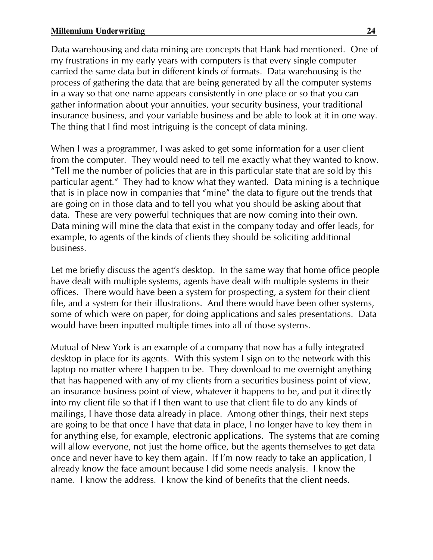Data warehousing and data mining are concepts that Hank had mentioned. One of my frustrations in my early years with computers is that every single computer carried the same data but in different kinds of formats. Data warehousing is the process of gathering the data that are being generated by all the computer systems in a way so that one name appears consistently in one place or so that you can gather information about your annuities, your security business, your traditional insurance business, and your variable business and be able to look at it in one way. The thing that I find most intriguing is the concept of data mining.

When I was a programmer, I was asked to get some information for a user client from the computer. They would need to tell me exactly what they wanted to know. "Tell me the number of policies that are in this particular state that are sold by this particular agent." They had to know what they wanted. Data mining is a technique that is in place now in companies that "mine" the data to figure out the trends that are going on in those data and to tell you what you should be asking about that data. These are very powerful techniques that are now coming into their own. Data mining will mine the data that exist in the company today and offer leads, for example, to agents of the kinds of clients they should be soliciting additional business.

Let me briefly discuss the agent's desktop. In the same way that home office people have dealt with multiple systems, agents have dealt with multiple systems in their offices. There would have been a system for prospecting, a system for their client file, and a system for their illustrations. And there would have been other systems, some of which were on paper, for doing applications and sales presentations. Data would have been inputted multiple times into all of those systems.

Mutual of New York is an example of a company that now has a fully integrated desktop in place for its agents. With this system I sign on to the network with this laptop no matter where I happen to be. They download to me overnight anything that has happened with any of my clients from a securities business point of view, an insurance business point of view, whatever it happens to be, and put it directly into my client file so that if I then want to use that client file to do any kinds of mailings, I have those data already in place. Among other things, their next steps are going to be that once I have that data in place, I no longer have to key them in for anything else, for example, electronic applications. The systems that are coming will allow everyone, not just the home office, but the agents themselves to get data once and never have to key them again. If I'm now ready to take an application, I already know the face amount because I did some needs analysis. I know the name. I know the address. I know the kind of benefits that the client needs.